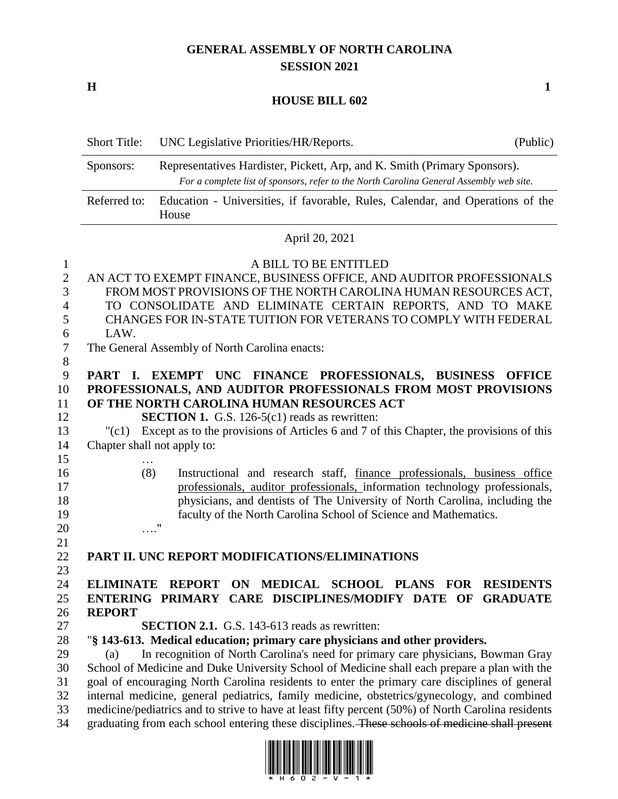## **GENERAL ASSEMBLY OF NORTH CAROLINA SESSION 2021**

**H 1**

## **HOUSE BILL 602**

|                                                         | <b>Short Title:</b>                  | UNC Legislative Priorities/HR/Reports.                                                                                                                                                                                                                                                                                                                                                                                                                                                                                                                                                                                                                                   | (Public)                            |
|---------------------------------------------------------|--------------------------------------|--------------------------------------------------------------------------------------------------------------------------------------------------------------------------------------------------------------------------------------------------------------------------------------------------------------------------------------------------------------------------------------------------------------------------------------------------------------------------------------------------------------------------------------------------------------------------------------------------------------------------------------------------------------------------|-------------------------------------|
|                                                         | Sponsors:                            | Representatives Hardister, Pickett, Arp, and K. Smith (Primary Sponsors).<br>For a complete list of sponsors, refer to the North Carolina General Assembly web site.                                                                                                                                                                                                                                                                                                                                                                                                                                                                                                     |                                     |
|                                                         | Referred to:                         | Education - Universities, if favorable, Rules, Calendar, and Operations of the<br>House                                                                                                                                                                                                                                                                                                                                                                                                                                                                                                                                                                                  |                                     |
|                                                         |                                      | April 20, 2021                                                                                                                                                                                                                                                                                                                                                                                                                                                                                                                                                                                                                                                           |                                     |
| $\mathbf{1}$<br>$\overline{2}$<br>3<br>4<br>5<br>6<br>7 | LAW.                                 | A BILL TO BE ENTITLED<br>AN ACT TO EXEMPT FINANCE, BUSINESS OFFICE, AND AUDITOR PROFESSIONALS<br>FROM MOST PROVISIONS OF THE NORTH CAROLINA HUMAN RESOURCES ACT,<br>TO CONSOLIDATE AND ELIMINATE CERTAIN REPORTS, AND TO MAKE<br>CHANGES FOR IN-STATE TUITION FOR VETERANS TO COMPLY WITH FEDERAL<br>The General Assembly of North Carolina enacts:                                                                                                                                                                                                                                                                                                                      |                                     |
| 8<br>9<br>10<br>11<br>12<br>13<br>14                    | "(c1)<br>Chapter shall not apply to: | PART I. EXEMPT UNC FINANCE PROFESSIONALS, BUSINESS<br>PROFESSIONALS, AND AUDITOR PROFESSIONALS FROM MOST PROVISIONS<br>OF THE NORTH CAROLINA HUMAN RESOURCES ACT<br><b>SECTION 1.</b> G.S. 126-5(c1) reads as rewritten:<br>Except as to the provisions of Articles 6 and 7 of this Chapter, the provisions of this                                                                                                                                                                                                                                                                                                                                                      | <b>OFFICE</b>                       |
| 15<br>16<br>17<br>18<br>19<br>20                        | .<br>(8)                             | Instructional and research staff, finance professionals, business office<br>professionals, auditor professionals, information technology professionals,<br>physicians, and dentists of The University of North Carolina, including the<br>faculty of the North Carolina School of Science and Mathematics.<br>Ħ                                                                                                                                                                                                                                                                                                                                                          |                                     |
| 21<br>22                                                |                                      | PART II. UNC REPORT MODIFICATIONS/ELIMINATIONS                                                                                                                                                                                                                                                                                                                                                                                                                                                                                                                                                                                                                           |                                     |
| 23<br>24<br>25<br>26<br>27                              | <b>REPORT</b>                        | ON MEDICAL SCHOOL PLANS FOR<br><b>ELIMINATE REPORT</b><br>ENTERING PRIMARY CARE DISCIPLINES/MODIFY DATE OF<br><b>SECTION 2.1.</b> G.S. 143-613 reads as rewritten:                                                                                                                                                                                                                                                                                                                                                                                                                                                                                                       | <b>RESIDENTS</b><br><b>GRADUATE</b> |
| 28<br>29<br>30<br>31<br>32<br>33<br>34                  | (a)                                  | "§ 143-613. Medical education; primary care physicians and other providers.<br>In recognition of North Carolina's need for primary care physicians, Bowman Gray<br>School of Medicine and Duke University School of Medicine shall each prepare a plan with the<br>goal of encouraging North Carolina residents to enter the primary care disciplines of general<br>internal medicine, general pediatrics, family medicine, obstetrics/gynecology, and combined<br>medicine/pediatrics and to strive to have at least fifty percent (50%) of North Carolina residents<br>graduating from each school entering these disciplines. These schools of medicine shall present |                                     |

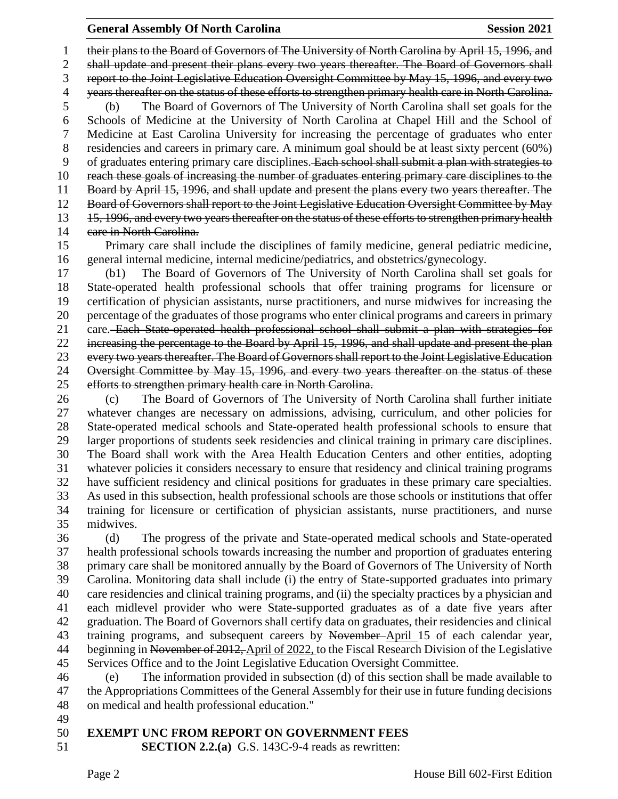their plans to the Board of Governors of The University of North Carolina by April 15, 1996, and shall update and present their plans every two years thereafter. The Board of Governors shall report to the Joint Legislative Education Oversight Committee by May 15, 1996, and every two 4 years thereafter on the status of these efforts to strengthen primary health care in North Carolina. (b) The Board of Governors of The University of North Carolina shall set goals for the Schools of Medicine at the University of North Carolina at Chapel Hill and the School of Medicine at East Carolina University for increasing the percentage of graduates who enter residencies and careers in primary care. A minimum goal should be at least sixty percent (60%) 9 of graduates entering primary care disciplines. Each school shall submit a plan with strategies to 10 reach these goals of increasing the number of graduates entering primary care disciplines to the Board by April 15, 1996, and shall update and present the plans every two years thereafter. The Board of Governors shall report to the Joint Legislative Education Oversight Committee by May 13 15, 1996, and every two years thereafter on the status of these efforts to strengthen primary health 14 care in North Carolina.

 Primary care shall include the disciplines of family medicine, general pediatric medicine, general internal medicine, internal medicine/pediatrics, and obstetrics/gynecology.

 (b1) The Board of Governors of The University of North Carolina shall set goals for State-operated health professional schools that offer training programs for licensure or certification of physician assistants, nurse practitioners, and nurse midwives for increasing the percentage of the graduates of those programs who enter clinical programs and careers in primary 21 care. Each State operated health professional school shall submit a plan with strategies for increasing the percentage to the Board by April 15, 1996, and shall update and present the plan every two years thereafter. The Board of Governors shall report to the Joint Legislative Education Oversight Committee by May 15, 1996, and every two years thereafter on the status of these efforts to strengthen primary health care in North Carolina.

 (c) The Board of Governors of The University of North Carolina shall further initiate whatever changes are necessary on admissions, advising, curriculum, and other policies for State-operated medical schools and State-operated health professional schools to ensure that larger proportions of students seek residencies and clinical training in primary care disciplines. The Board shall work with the Area Health Education Centers and other entities, adopting whatever policies it considers necessary to ensure that residency and clinical training programs have sufficient residency and clinical positions for graduates in these primary care specialties. As used in this subsection, health professional schools are those schools or institutions that offer training for licensure or certification of physician assistants, nurse practitioners, and nurse midwives.

 (d) The progress of the private and State-operated medical schools and State-operated health professional schools towards increasing the number and proportion of graduates entering primary care shall be monitored annually by the Board of Governors of The University of North Carolina. Monitoring data shall include (i) the entry of State-supported graduates into primary care residencies and clinical training programs, and (ii) the specialty practices by a physician and each midlevel provider who were State-supported graduates as of a date five years after graduation. The Board of Governors shall certify data on graduates, their residencies and clinical training programs, and subsequent careers by November April 15 of each calendar year, 44 beginning in November of 2012, April of 2022, to the Fiscal Research Division of the Legislative Services Office and to the Joint Legislative Education Oversight Committee.

 (e) The information provided in subsection (d) of this section shall be made available to the Appropriations Committees of the General Assembly for their use in future funding decisions on medical and health professional education."

## **EXEMPT UNC FROM REPORT ON GOVERNMENT FEES**

**SECTION 2.2.(a)** G.S. 143C-9-4 reads as rewritten: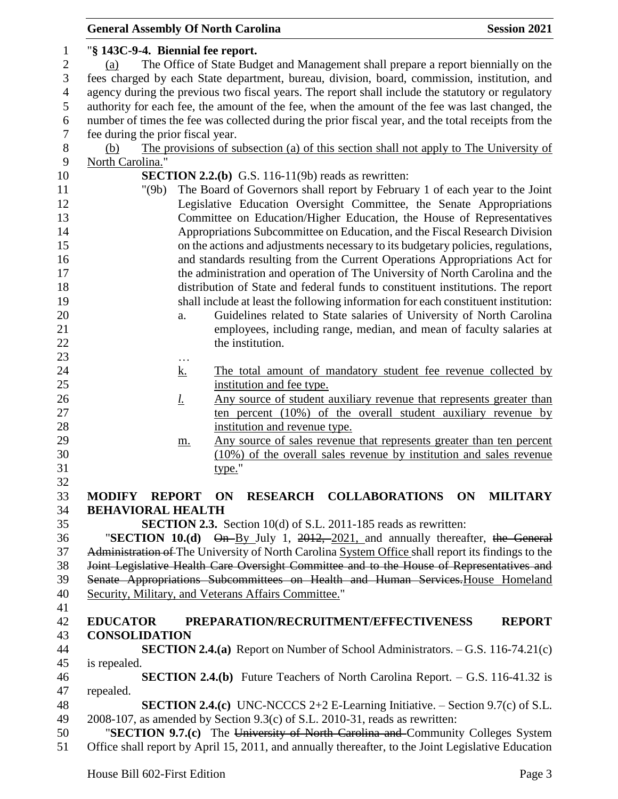|                                   | <b>General Assembly Of North Carolina</b>                                                           | <b>Session 2021</b> |
|-----------------------------------|-----------------------------------------------------------------------------------------------------|---------------------|
|                                   | "§ 143C-9-4. Biennial fee report.                                                                   |                     |
| (a)                               | The Office of State Budget and Management shall prepare a report biennially on the                  |                     |
|                                   | fees charged by each State department, bureau, division, board, commission, institution, and        |                     |
|                                   | agency during the previous two fiscal years. The report shall include the statutory or regulatory   |                     |
|                                   | authority for each fee, the amount of the fee, when the amount of the fee was last changed, the     |                     |
|                                   | number of times the fee was collected during the prior fiscal year, and the total receipts from the |                     |
| fee during the prior fiscal year. |                                                                                                     |                     |
| (b)                               | The provisions of subsection (a) of this section shall not apply to The University of               |                     |
| North Carolina."                  |                                                                                                     |                     |
|                                   |                                                                                                     |                     |
|                                   | SECTION 2.2.(b) G.S. 116-11(9b) reads as rewritten:                                                 |                     |
| "(9b)                             | The Board of Governors shall report by February 1 of each year to the Joint                         |                     |
|                                   | Legislative Education Oversight Committee, the Senate Appropriations                                |                     |
|                                   | Committee on Education/Higher Education, the House of Representatives                               |                     |
|                                   | Appropriations Subcommittee on Education, and the Fiscal Research Division                          |                     |
|                                   | on the actions and adjustments necessary to its budgetary policies, regulations,                    |                     |
|                                   | and standards resulting from the Current Operations Appropriations Act for                          |                     |
|                                   | the administration and operation of The University of North Carolina and the                        |                     |
|                                   | distribution of State and federal funds to constituent institutions. The report                     |                     |
|                                   | shall include at least the following information for each constituent institution:                  |                     |
|                                   | Guidelines related to State salaries of University of North Carolina<br>a.                          |                     |
|                                   | employees, including range, median, and mean of faculty salaries at                                 |                     |
|                                   | the institution.                                                                                    |                     |
|                                   | $\cdots$                                                                                            |                     |
|                                   | The total amount of mandatory student fee revenue collected by<br><u>k.</u>                         |                     |
|                                   | institution and fee type.                                                                           |                     |
|                                   | Any source of student auxiliary revenue that represents greater than<br><u>l.</u>                   |                     |
|                                   | ten percent (10%) of the overall student auxiliary revenue by                                       |                     |
|                                   | institution and revenue type.                                                                       |                     |
|                                   | Any source of sales revenue that represents greater than ten percent<br>m.                          |                     |
|                                   | (10%) of the overall sales revenue by institution and sales revenue                                 |                     |
|                                   | type."                                                                                              |                     |
|                                   |                                                                                                     |                     |
| <b>MODIFY REPORT ON</b>           | RESEARCH COLLABORATIONS ON                                                                          | <b>MILITARY</b>     |
| <b>BEHAVIORAL HEALTH</b>          |                                                                                                     |                     |
|                                   | <b>SECTION 2.3.</b> Section 10(d) of S.L. 2011-185 reads as rewritten:                              |                     |
|                                   | "SECTION 10.(d) $\Theta$ n-By July 1, 2012, 2021, and annually thereafter, the General              |                     |
|                                   | Administration of The University of North Carolina System Office shall report its findings to the   |                     |
|                                   | Joint Legislative Health Care Oversight Committee and to the House of Representatives and           |                     |
|                                   | Senate Appropriations Subcommittees on Health and Human Services. House Homeland                    |                     |
|                                   | Security, Military, and Veterans Affairs Committee."                                                |                     |
|                                   |                                                                                                     |                     |
| <b>EDUCATOR</b>                   | PREPARATION/RECRUITMENT/EFFECTIVENESS                                                               | <b>REPORT</b>       |
| <b>CONSOLIDATION</b>              |                                                                                                     |                     |
|                                   | <b>SECTION 2.4.(a)</b> Report on Number of School Administrators. $-$ G.S. 116-74.21(c)             |                     |
|                                   |                                                                                                     |                     |
| is repealed.                      |                                                                                                     |                     |
|                                   | <b>SECTION 2.4.(b)</b> Future Teachers of North Carolina Report. $-$ G.S. 116-41.32 is              |                     |
| repealed.                         |                                                                                                     |                     |
|                                   | <b>SECTION 2.4.(c)</b> UNC-NCCCS 2+2 E-Learning Initiative. $-$ Section 9.7(c) of S.L.              |                     |
|                                   | 2008-107, as amended by Section 9.3(c) of S.L. 2010-31, reads as rewritten:                         |                     |
|                                   | "SECTION 9.7.(c) The University of North Carolina and Community Colleges System                     |                     |
|                                   | Office shall report by April 15, 2011, and annually thereafter, to the Joint Legislative Education  |                     |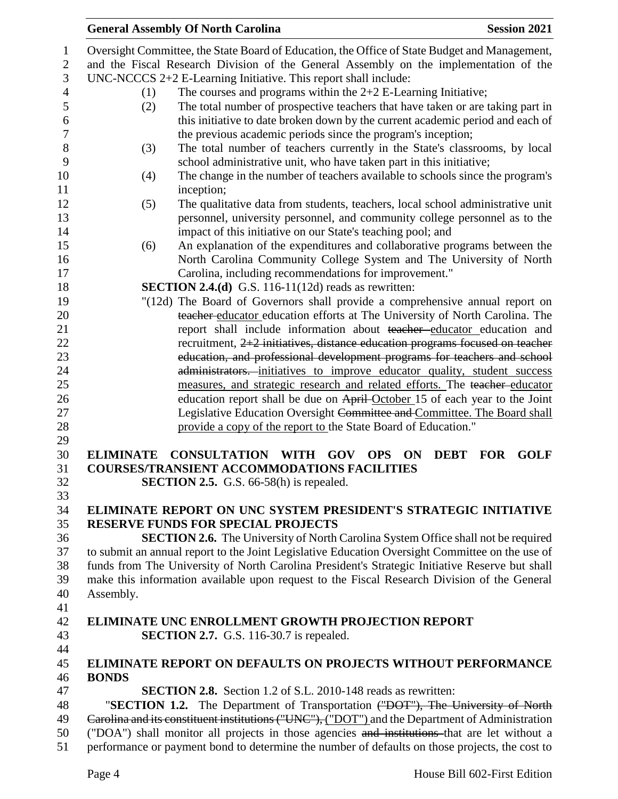|                | <b>General Assembly Of North Carolina</b><br><b>Session 2021</b>                                                        |
|----------------|-------------------------------------------------------------------------------------------------------------------------|
| 1              | Oversight Committee, the State Board of Education, the Office of State Budget and Management,                           |
| $\mathbf{2}$   | and the Fiscal Research Division of the General Assembly on the implementation of the                                   |
| 3              | UNC-NCCCS 2+2 E-Learning Initiative. This report shall include:                                                         |
| $\overline{4}$ | The courses and programs within the $2+2$ E-Learning Initiative;<br>(1)                                                 |
| 5              | The total number of prospective teachers that have taken or are taking part in<br>(2)                                   |
| 6              | this initiative to date broken down by the current academic period and each of                                          |
| 7              |                                                                                                                         |
|                | the previous academic periods since the program's inception;                                                            |
| $8\,$          | The total number of teachers currently in the State's classrooms, by local<br>(3)                                       |
| 9              | school administrative unit, who have taken part in this initiative;                                                     |
| 10             | The change in the number of teachers available to schools since the program's<br>(4)                                    |
| 11             | inception;                                                                                                              |
| 12             | (5)<br>The qualitative data from students, teachers, local school administrative unit                                   |
| 13             | personnel, university personnel, and community college personnel as to the                                              |
| 14             | impact of this initiative on our State's teaching pool; and                                                             |
| 15             | An explanation of the expenditures and collaborative programs between the<br>(6)                                        |
| 16             | North Carolina Community College System and The University of North                                                     |
| 17             | Carolina, including recommendations for improvement."                                                                   |
| 18             | <b>SECTION 2.4.(d)</b> G.S. 116-11(12d) reads as rewritten:                                                             |
| 19             | "(12d) The Board of Governors shall provide a comprehensive annual report on                                            |
| 20             | teacher educator education efforts at The University of North Carolina. The                                             |
| 21             | report shall include information about teacher educator education and                                                   |
| 22             | recruitment, 2+2 initiatives, distance education programs focused on teacher                                            |
| 23             | education, and professional development programs for teachers and school                                                |
| 24             | administrators. initiatives to improve educator quality, student success                                                |
| 25             | measures, and strategic research and related efforts. The teacher-educator                                              |
| 26             | education report shall be due on April-October 15 of each year to the Joint                                             |
| 27             | Legislative Education Oversight Committee and Committee. The Board shall                                                |
| 28             | provide a copy of the report to the State Board of Education."                                                          |
| 29             |                                                                                                                         |
| 30             | <b>CONSULTATION WITH GOV</b><br><b>GOLF</b><br><b>ELIMINATE</b><br><b>OPS</b><br><b>ON</b><br><b>DEBT</b><br><b>FOR</b> |
| 31             | <b>COURSES/TRANSIENT ACCOMMODATIONS FACILITIES</b>                                                                      |
| 32             | SECTION 2.5. G.S. 66-58(h) is repealed.                                                                                 |
| 33             |                                                                                                                         |
| 34             | ELIMINATE REPORT ON UNC SYSTEM PRESIDENT'S STRATEGIC INITIATIVE                                                         |
| 35             | <b>RESERVE FUNDS FOR SPECIAL PROJECTS</b>                                                                               |
| 36             | <b>SECTION 2.6.</b> The University of North Carolina System Office shall not be required                                |
| 37             | to submit an annual report to the Joint Legislative Education Oversight Committee on the use of                         |
| 38             | funds from The University of North Carolina President's Strategic Initiative Reserve but shall                          |
| 39             | make this information available upon request to the Fiscal Research Division of the General                             |
| 40             | Assembly.                                                                                                               |
| 41             |                                                                                                                         |
| 42             | <b>ELIMINATE UNC ENROLLMENT GROWTH PROJECTION REPORT</b>                                                                |
| 43             | <b>SECTION 2.7.</b> G.S. 116-30.7 is repealed.                                                                          |
| 44             |                                                                                                                         |
| 45             | <b>ELIMINATE REPORT ON DEFAULTS ON PROJECTS WITHOUT PERFORMANCE</b>                                                     |
| 46             | <b>BONDS</b>                                                                                                            |
| 47             | <b>SECTION 2.8.</b> Section 1.2 of S.L. 2010-148 reads as rewritten:                                                    |
| 48             | "SECTION 1.2. The Department of Transportation ("DOT"), The University of North                                         |
| 49             | Carolina and its constituent institutions ("UNC"), ("DOT") and the Department of Administration                         |
| 50             | ("DOA") shall monitor all projects in those agencies and institutions that are let without a                            |
| 51             | performance or payment bond to determine the number of defaults on those projects, the cost to                          |